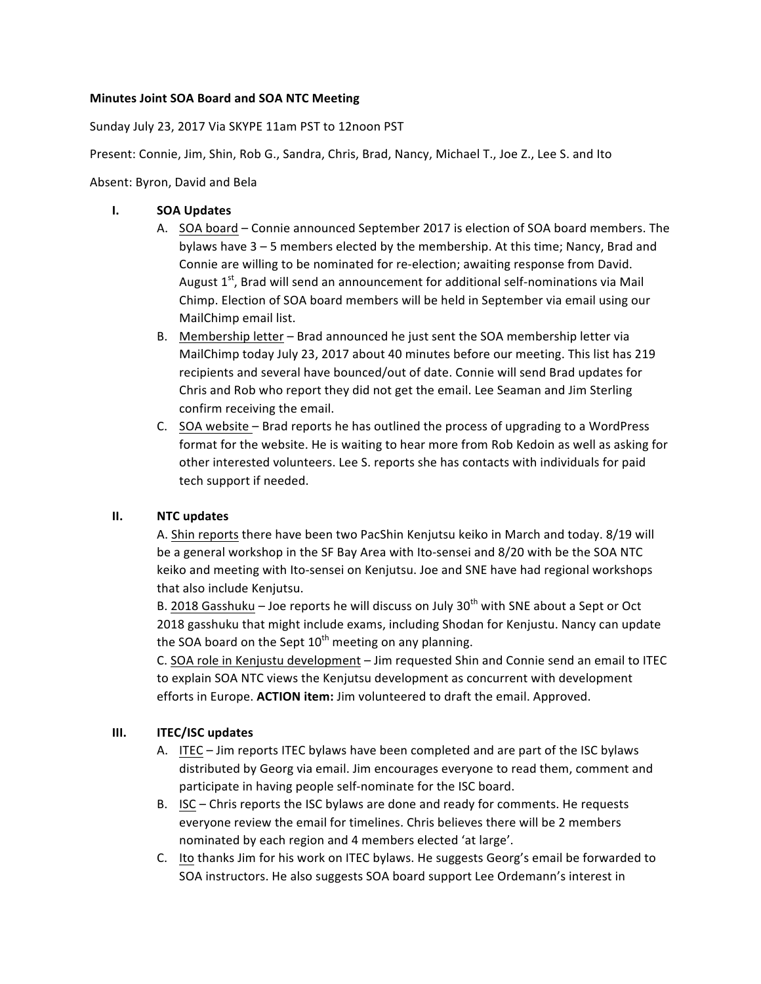## **Minutes Joint SOA Board and SOA NTC Meeting**

Sunday July 23, 2017 Via SKYPE 11am PST to 12noon PST

Present: Connie, Jim, Shin, Rob G., Sandra, Chris, Brad, Nancy, Michael T., Joe Z., Lee S. and Ito

Absent: Byron, David and Bela

## **I. SOA Updates**

- A. SOA board Connie announced September 2017 is election of SOA board members. The bylaws have  $3 - 5$  members elected by the membership. At this time; Nancy, Brad and Connie are willing to be nominated for re-election; awaiting response from David. August  $1<sup>st</sup>$ , Brad will send an announcement for additional self-nominations via Mail Chimp. Election of SOA board members will be held in September via email using our MailChimp email list.
- B. Membership letter Brad announced he just sent the SOA membership letter via MailChimp today July 23, 2017 about 40 minutes before our meeting. This list has 219 recipients and several have bounced/out of date. Connie will send Brad updates for Chris and Rob who report they did not get the email. Lee Seaman and Jim Sterling confirm receiving the email.
- C. SOA website Brad reports he has outlined the process of upgrading to a WordPress format for the website. He is waiting to hear more from Rob Kedoin as well as asking for other interested volunteers. Lee S. reports she has contacts with individuals for paid tech support if needed.

## **II. NTC updates**

A. Shin reports there have been two PacShin Kenjutsu keiko in March and today. 8/19 will be a general workshop in the SF Bay Area with Ito-sensei and 8/20 with be the SOA NTC keiko and meeting with Ito-sensei on Kenjutsu. Joe and SNE have had regional workshops that also include Kenjutsu.

B.  $2018$  Gasshuku – Joe reports he will discuss on July  $30<sup>th</sup>$  with SNE about a Sept or Oct 2018 gasshuku that might include exams, including Shodan for Kenjustu. Nancy can update the SOA board on the Sept  $10^{th}$  meeting on any planning.

C. SOA role in Kenjustu development – Jim requested Shin and Connie send an email to ITEC to explain SOA NTC views the Kenjutsu development as concurrent with development efforts in Europe. ACTION item: Jim volunteered to draft the email. Approved.

## **III. ITEC/ISC** updates

- A. ITEC Jim reports ITEC bylaws have been completed and are part of the ISC bylaws distributed by Georg via email. Jim encourages everyone to read them, comment and participate in having people self-nominate for the ISC board.
- B. ISC Chris reports the ISC bylaws are done and ready for comments. He requests everyone review the email for timelines. Chris believes there will be 2 members nominated by each region and 4 members elected 'at large'.
- C. Ito thanks Jim for his work on ITEC bylaws. He suggests Georg's email be forwarded to SOA instructors. He also suggests SOA board support Lee Ordemann's interest in